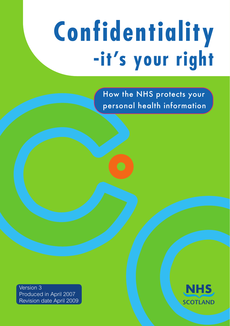# **Confidentiality -it's your right**

How the NHS protects your personal health information

Version 3 Produced in April 2007 Revision date April 2009

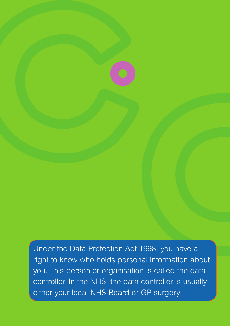Under the Data Protection Act 1998, you have a right to know who holds personal information about you. This person or organisation is called the data controller. In the NHS, the data controller is usually either your local NHS Board or GP surgery.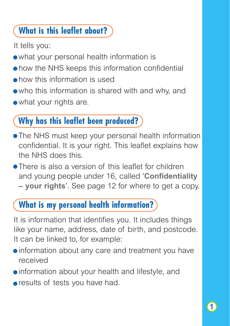## **What is this leaflet about?**

It tells you:

- what your personal health information is
- how the NHS keeps this information confidential
- how this information is used
- who this information is shared with and why, and
- what your rights are.

#### **Why has this leaflet been produced?**

- The NHS must keep your personal health information confidential. It is your right. This leaflet explains how the NHS does this.
- There is also a version of this leaflet for children and young people under 16, called '**Confidentiality – your rights**'. See page 12 for where to get a copy.

## **What is my personal health information?**

It is information that identifies you. It includes things like your name, address, date of birth, and postcode. It can be linked to, for example:

- information about any care and treatment you have received
- information about your health and lifestyle, and
- **•** results of tests you have had.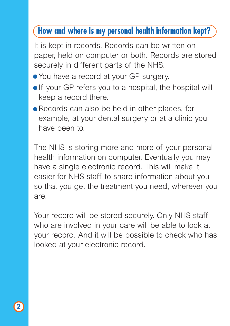#### **How and where is my personal health information kept?**

It is kept in records. Records can be written on paper, held on computer or both. Records are stored securely in different parts of the NHS.

- You have a record at your GP surgery.
- **.** If your GP refers you to a hospital, the hospital will keep a record there.
- Records can also be held in other places, for example, at your dental surgery or at a clinic you have been to.

The NHS is storing more and more of your personal health information on computer. Eventually you may have a single electronic record. This will make it easier for NHS staff to share information about you so that you get the treatment you need, wherever you are.

Your record will be stored securely. Only NHS staff who are involved in your care will be able to look at your record. And it will be possible to check who has looked at your electronic record.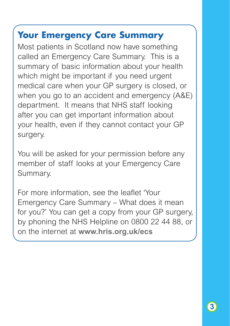## **Your Emergency Care Summary**

Most patients in Scotland now have something called an Emergency Care Summary. This is a summary of basic information about your health which might be important if you need urgent medical care when your GP surgery is closed, or when you go to an accident and emergency (A&E) department. It means that NHS staff looking after you can get important information about your health, even if they cannot contact your GP surgery.

You will be asked for your permission before any member of staff looks at your Emergency Care Summary.

For more information, see the leaflet 'Your Emergency Care Summary – What does it mean for you?' You can get a copy from your GP surgery, by phoning the NHS Helpline on 0800 22 44 88, or on the internet at **www.hris.org.uk/ecs**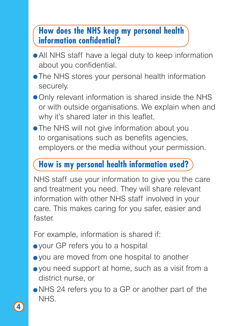#### **How does the NHS keep my personal health information confidential?**

- All NHS staff have a legal duty to keep information about you confidential.
- The NHS stores your personal health information securely.
- Only relevant information is shared inside the NHS or with outside organisations. We explain when and why it's shared later in this leaflet.
- **The NHS will not give information about you** to organisations such as benefits agencies, employers or the media without your permission.

#### **How is my personal health information used?**

NHS staff use your information to give you the care and treatment you need. They will share relevant information with other NHS staff involved in your care. This makes caring for you safer, easier and faster.

For example, information is shared if:

- your GP refers you to a hospital
- you are moved from one hospital to another
- you need support at home, such as a visit from a district nurse, or
- NHS 24 refers you to a GP or another part of the NHS.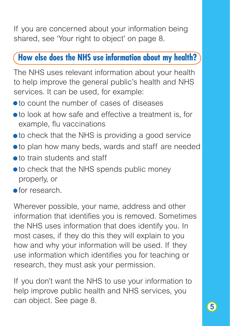If you are concerned about your information being shared, see 'Your right to object' on page 8.

#### **How else does the NHS use information about my health?**

The NHS uses relevant information about your health to help improve the general public's health and NHS services. It can be used, for example:

- to count the number of cases of diseases
- to look at how safe and effective a treatment is, for example, flu vaccinations
- to check that the NHS is providing a good service
- to plan how many beds, wards and staff are needed
- to train students and staff
- **to check that the NHS spends public money** properly, or
- **•** for research.

Wherever possible, your name, address and other information that identifies you is removed. Sometimes the NHS uses information that does identify you. In most cases, if they do this they will explain to you how and why your information will be used. If they use information which identifies you for teaching or research, they must ask your permission.

If you don't want the NHS to use your information to help improve public health and NHS services, you can object. See page 8.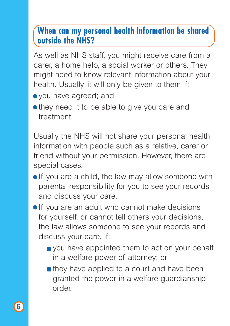#### **When can my personal health information be shared outside the NHS?**

As well as NHS staff, you might receive care from a carer, a home help, a social worker or others. They might need to know relevant information about your health. Usually, it will only be given to them if:

- you have agreed; and
- they need it to be able to give you care and treatment.

Usually the NHS will not share your personal health information with people such as a relative, carer or friend without your permission. However, there are special cases.

- **If** you are a child, the law may allow someone with parental responsibility for you to see your records and discuss your care.
- If you are an adult who cannot make decisions for yourself, or cannot tell others your decisions, the law allows someone to see your records and discuss your care, if:
	- vou have appointed them to act on your behalf in a welfare power of attorney; or
	- $\blacksquare$  they have applied to a court and have been granted the power in a welfare guardianship order.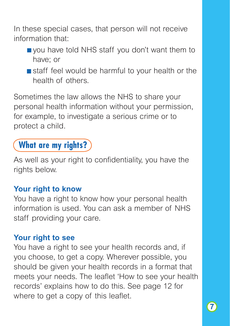In these special cases, that person will not receive information that:

- vou have told NHS staff you don't want them to have; or
- staff feel would be harmful to your health or the health of others.

Sometimes the law allows the NHS to share your personal health information without your permission, for example, to investigate a serious crime or to protect a child.

### **What are my rights?**

As well as your right to confidentiality, you have the rights below.

#### **Your right to know**

You have a right to know how your personal health information is used. You can ask a member of NHS staff providing your care.

#### **Your right to see**

You have a right to see your health records and, if you choose, to get a copy. Wherever possible, you should be given your health records in a format that meets your needs. The leaflet 'How to see your health records' explains how to do this. See page 12 for where to get a copy of this leaflet.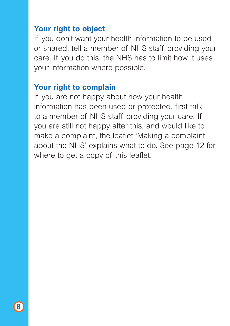#### **Your right to object**

If you don't want your health information to be used or shared, tell a member of NHS staff providing your care. If you do this, the NHS has to limit how it uses your information where possible.

#### **Your right to complain**

If you are not happy about how your health information has been used or protected, first talk to a member of NHS staff providing your care. If you are still not happy after this, and would like to make a complaint, the leaflet 'Making a complaint about the NHS' explains what to do. See page 12 for where to get a copy of this leaflet.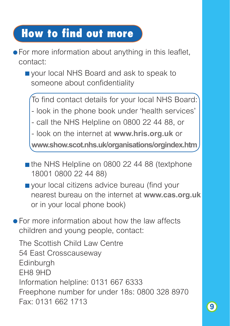## **How to find out more**

- For more information about anything in this leaflet, contact:
	- vour local NHS Board and ask to speak to someone about confidentiality

To find contact details for your local NHS Board:

- look in the phone book under 'health services'

- call the NHS Helpline on 0800 22 44 88, or

- look on the internet at **www.hris.org.uk** or

**www.show.scot.nhs.uk/organisations/orgindex.htm**

- $\blacksquare$  the NHS Helpline on 0800 22 44 88 (textphone 18001 0800 22 44 88)
- vour local citizens advice bureau (find your nearest bureau on the internet at **www.cas.org.uk** or in your local phone book)
- **•** For more information about how the law affects children and young people, contact:

The Scottish Child Law Centre 54 East Crosscauseway Edinburgh EH8 9HD Information helpline: 0131 667 6333 Freephone number for under 18s: 0800 328 8970 Fax: 0131 662 1713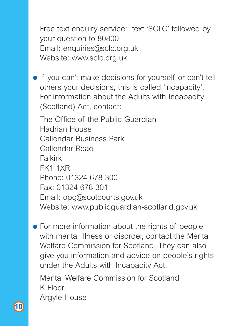Free text enquiry service: text 'SCLC' followed by your question to 80800 Email: enquiries@sclc.org.uk Website: www.sclc.org.uk

**If you can't make decisions for yourself or can't tell** others your decisions, this is called 'incapacity'. For information about the Adults with Incapacity (Scotland) Act, contact:

The Office of the Public Guardian Hadrian House Callendar Business Park Callendar Road Falkirk FK1 1XR Phone: 01324 678 300 Fax: 01324 678 301 Email: opg@scotcourts.gov.uk Website: www.publicguardian-scotland.gov.uk

• For more information about the rights of people with mental illness or disorder, contact the Mental Welfare Commission for Scotland. They can also give you information and advice on people's rights under the Adults with Incapacity Act.

Mental Welfare Commission for Scotland K Floor Argyle House

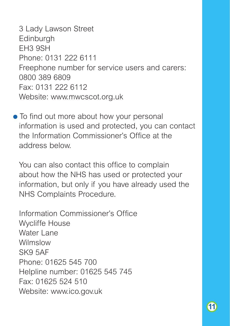3 Lady Lawson Street **Edinburgh** EH3 9SH Phone: 0131 222 6111 Freephone number for service users and carers: 0800 389 6809 Fax: 0131 222 6112 Website: www.mwcscot.org.uk

• To find out more about how your personal information is used and protected, you can contact the Information Commissioner's Office at the address below.

You can also contact this office to complain about how the NHS has used or protected your information, but only if you have already used the NHS Complaints Procedure.

Information Commissioner's Office Wycliffe House Water Lane Wilmslow SK9 5AF Phone: 01625 545 700 Helpline number: 01625 545 745 Fax: 01625 524 510 Website: www.ico.gov.uk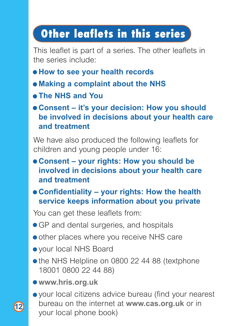# **Other leaflets in this series**

This leaflet is part of a series. The other leaflets in the series include:

- **How to see your health records**
- **Making a complaint about the NHS**
- **The NHS and You**
- **Consent it's your decision: How you should be involved in decisions about your health care and treatment**

We have also produced the following leaflets for children and young people under 16:

- **Consent your rights: How you should be involved in decisions about your health care and treatment**
- **Confidentiality your rights: How the health service keeps information about you private**

You can get these leaflets from:

- GP and dental surgeries, and hospitals
- other places where you receive NHS care
- your local NHS Board
- the NHS Helpline on 0800 22 44 88 (textphone 18001 0800 22 44 88)
- **www.hris.org.uk**

**12**

your local citizens advice bureau (find your nearest bureau on the internet at **www.cas.org.uk** or in your local phone book)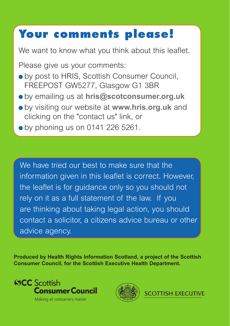# **Your comments please!**

We want to know what you think about this leaflet.

Please give us your comments:

- by post to HRIS, Scottish Consumer Council, FREEPOST GW5277, Glasgow G1 3BR
- by emailing us at **hris@scotconsumer.org.uk**
- by visiting our website at **www.hris.org.uk** and clicking on the "contact us" link, or
- $\bullet$  by phoning us on 0141 226 5261.

We have tried our best to make sure that the information given in this leaflet is correct. However, the leaflet is for guidance only so you should not rely on it as a full statement of the law. If you are thinking about taking legal action, you should contact a solicitor, a citizens advice bureau or other advice agency.

**Produced by Health Rights Information Scotland, a project of the Scottish Consumer Council, for the Scottish Executive Health Department.**



Making all consumers matter



**SCOTTISH EXECUTIVE**